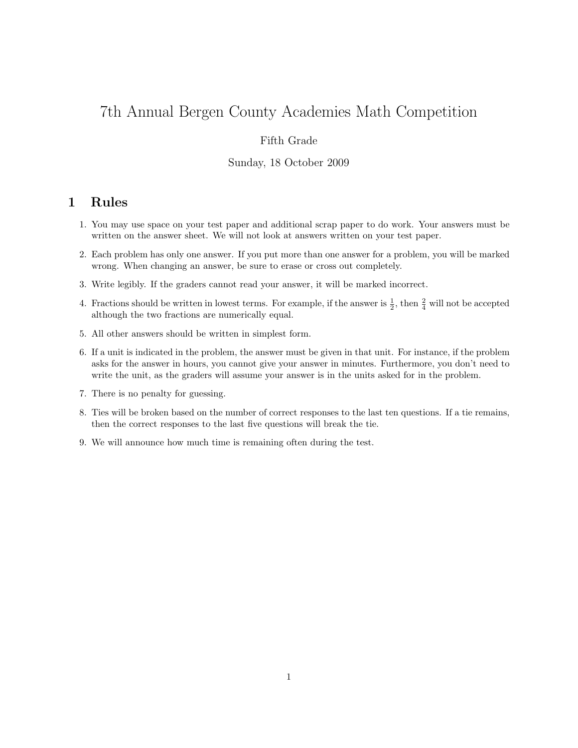# 7th Annual Bergen County Academies Math Competition

## Fifth Grade

#### Sunday, 18 October 2009

# 1 Rules

- 1. You may use space on your test paper and additional scrap paper to do work. Your answers must be written on the answer sheet. We will not look at answers written on your test paper.
- 2. Each problem has only one answer. If you put more than one answer for a problem, you will be marked wrong. When changing an answer, be sure to erase or cross out completely.
- 3. Write legibly. If the graders cannot read your answer, it will be marked incorrect.
- 4. Fractions should be written in lowest terms. For example, if the answer is  $\frac{1}{2}$ , then  $\frac{2}{4}$  will not be accepted although the two fractions are numerically equal.
- 5. All other answers should be written in simplest form.
- 6. If a unit is indicated in the problem, the answer must be given in that unit. For instance, if the problem asks for the answer in hours, you cannot give your answer in minutes. Furthermore, you don't need to write the unit, as the graders will assume your answer is in the units asked for in the problem.
- 7. There is no penalty for guessing.
- 8. Ties will be broken based on the number of correct responses to the last ten questions. If a tie remains, then the correct responses to the last five questions will break the tie.
- 9. We will announce how much time is remaining often during the test.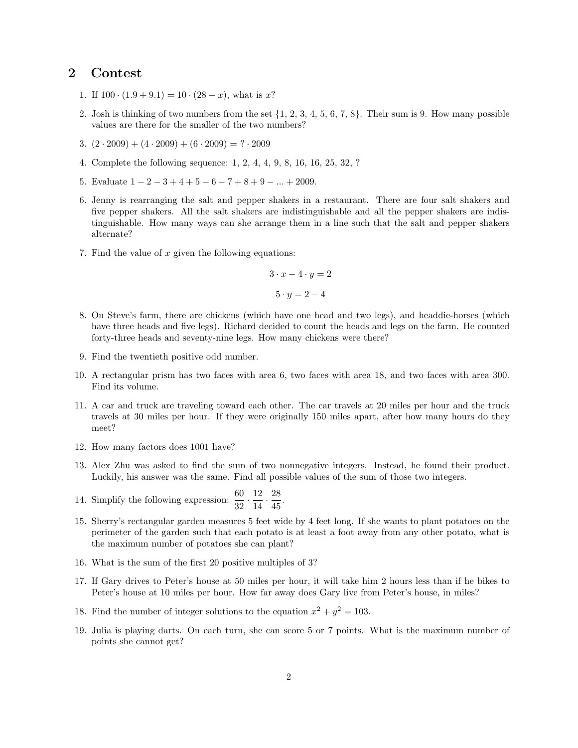## 2 Contest

- 1. If  $100 \cdot (1.9 + 9.1) = 10 \cdot (28 + x)$ , what is x?
- 2. Josh is thinking of two numbers from the set  $\{1, 2, 3, 4, 5, 6, 7, 8\}$ . Their sum is 9. How many possible values are there for the smaller of the two numbers?
- 3.  $(2 \cdot 2009) + (4 \cdot 2009) + (6 \cdot 2009) = ? \cdot 2009$
- 4. Complete the following sequence: 1, 2, 4, 4, 9, 8, 16, 16, 25, 32, ?
- 5. Evaluate  $1 2 3 + 4 + 5 6 7 + 8 + 9 \dots + 2009$ .
- 6. Jenny is rearranging the salt and pepper shakers in a restaurant. There are four salt shakers and five pepper shakers. All the salt shakers are indistinguishable and all the pepper shakers are indistinguishable. How many ways can she arrange them in a line such that the salt and pepper shakers alternate?
- 7. Find the value of  $x$  given the following equations:

$$
3 \cdot x - 4 \cdot y = 2
$$

$$
5 \cdot y = 2 - 4
$$

- 8. On Steve's farm, there are chickens (which have one head and two legs), and headdie-horses (which have three heads and five legs). Richard decided to count the heads and legs on the farm. He counted forty-three heads and seventy-nine legs. How many chickens were there?
- 9. Find the twentieth positive odd number.
- 10. A rectangular prism has two faces with area 6, two faces with area 18, and two faces with area 300. Find its volume.
- 11. A car and truck are traveling toward each other. The car travels at 20 miles per hour and the truck travels at 30 miles per hour. If they were originally 150 miles apart, after how many hours do they meet?
- 12. How many factors does 1001 have?
- 13. Alex Zhu was asked to find the sum of two nonnegative integers. Instead, he found their product. Luckily, his answer was the same. Find all possible values of the sum of those two integers.
- 14. Simplify the following expression:  $\frac{60}{32} \cdot \frac{12}{14}$  $\frac{12}{14} \cdot \frac{28}{45}$  $\frac{20}{45}$ .
- 15. Sherry's rectangular garden measures 5 feet wide by 4 feet long. If she wants to plant potatoes on the perimeter of the garden such that each potato is at least a foot away from any other potato, what is the maximum number of potatoes she can plant?
- 16. What is the sum of the first 20 positive multiples of 3?
- 17. If Gary drives to Peter's house at 50 miles per hour, it will take him 2 hours less than if he bikes to Peter's house at 10 miles per hour. How far away does Gary live from Peter's house, in miles?
- 18. Find the number of integer solutions to the equation  $x^2 + y^2 = 103$ .
- 19. Julia is playing darts. On each turn, she can score 5 or 7 points. What is the maximum number of points she cannot get?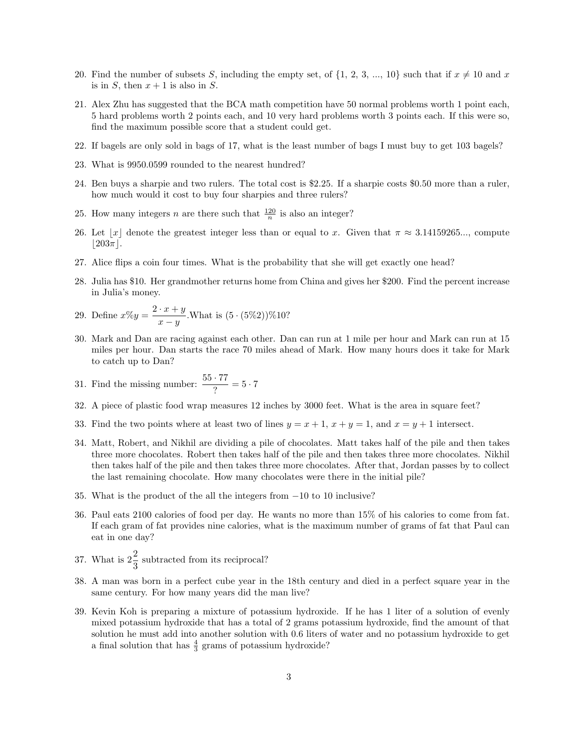- 20. Find the number of subsets S, including the empty set, of  $\{1, 2, 3, ..., 10\}$  such that if  $x \neq 10$  and x is in S, then  $x + 1$  is also in S.
- 21. Alex Zhu has suggested that the BCA math competition have 50 normal problems worth 1 point each, 5 hard problems worth 2 points each, and 10 very hard problems worth 3 points each. If this were so, find the maximum possible score that a student could get.
- 22. If bagels are only sold in bags of 17, what is the least number of bags I must buy to get 103 bagels?
- 23. What is 9950.0599 rounded to the nearest hundred?
- 24. Ben buys a sharpie and two rulers. The total cost is \$2.25. If a sharpie costs \$0.50 more than a ruler, how much would it cost to buy four sharpies and three rulers?
- 25. How many integers *n* are there such that  $\frac{120}{n}$  is also an integer?
- 26. Let  $|x|$  denote the greatest integer less than or equal to x. Given that  $\pi \approx 3.14159265...$ , compute  $|203\pi|$ .
- 27. Alice flips a coin four times. What is the probability that she will get exactly one head?
- 28. Julia has \$10. Her grandmother returns home from China and gives her \$200. Find the percent increase in Julia's money.

29. Define 
$$
x\%y = \frac{2 \cdot x + y}{x - y}
$$
. What is  $(5 \cdot (5\%)2)\%10$ ?

30. Mark and Dan are racing against each other. Dan can run at 1 mile per hour and Mark can run at 15 miles per hour. Dan starts the race 70 miles ahead of Mark. How many hours does it take for Mark to catch up to Dan?

31. Find the missing number: 
$$
\frac{55 \cdot 77}{?} = 5 \cdot 7
$$

- 32. A piece of plastic food wrap measures 12 inches by 3000 feet. What is the area in square feet?
- 33. Find the two points where at least two of lines  $y = x + 1$ ,  $x + y = 1$ , and  $x = y + 1$  intersect.
- 34. Matt, Robert, and Nikhil are dividing a pile of chocolates. Matt takes half of the pile and then takes three more chocolates. Robert then takes half of the pile and then takes three more chocolates. Nikhil then takes half of the pile and then takes three more chocolates. After that, Jordan passes by to collect the last remaining chocolate. How many chocolates were there in the initial pile?
- 35. What is the product of the all the integers from −10 to 10 inclusive?
- 36. Paul eats 2100 calories of food per day. He wants no more than 15% of his calories to come from fat. If each gram of fat provides nine calories, what is the maximum number of grams of fat that Paul can eat in one day?
- 37. What is  $2\frac{2}{3}$  subtracted from its reciprocal?
- 38. A man was born in a perfect cube year in the 18th century and died in a perfect square year in the same century. For how many years did the man live?
- 39. Kevin Koh is preparing a mixture of potassium hydroxide. If he has 1 liter of a solution of evenly mixed potassium hydroxide that has a total of 2 grams potassium hydroxide, find the amount of that solution he must add into another solution with 0.6 liters of water and no potassium hydroxide to get a final solution that has  $\frac{4}{3}$  grams of potassium hydroxide?